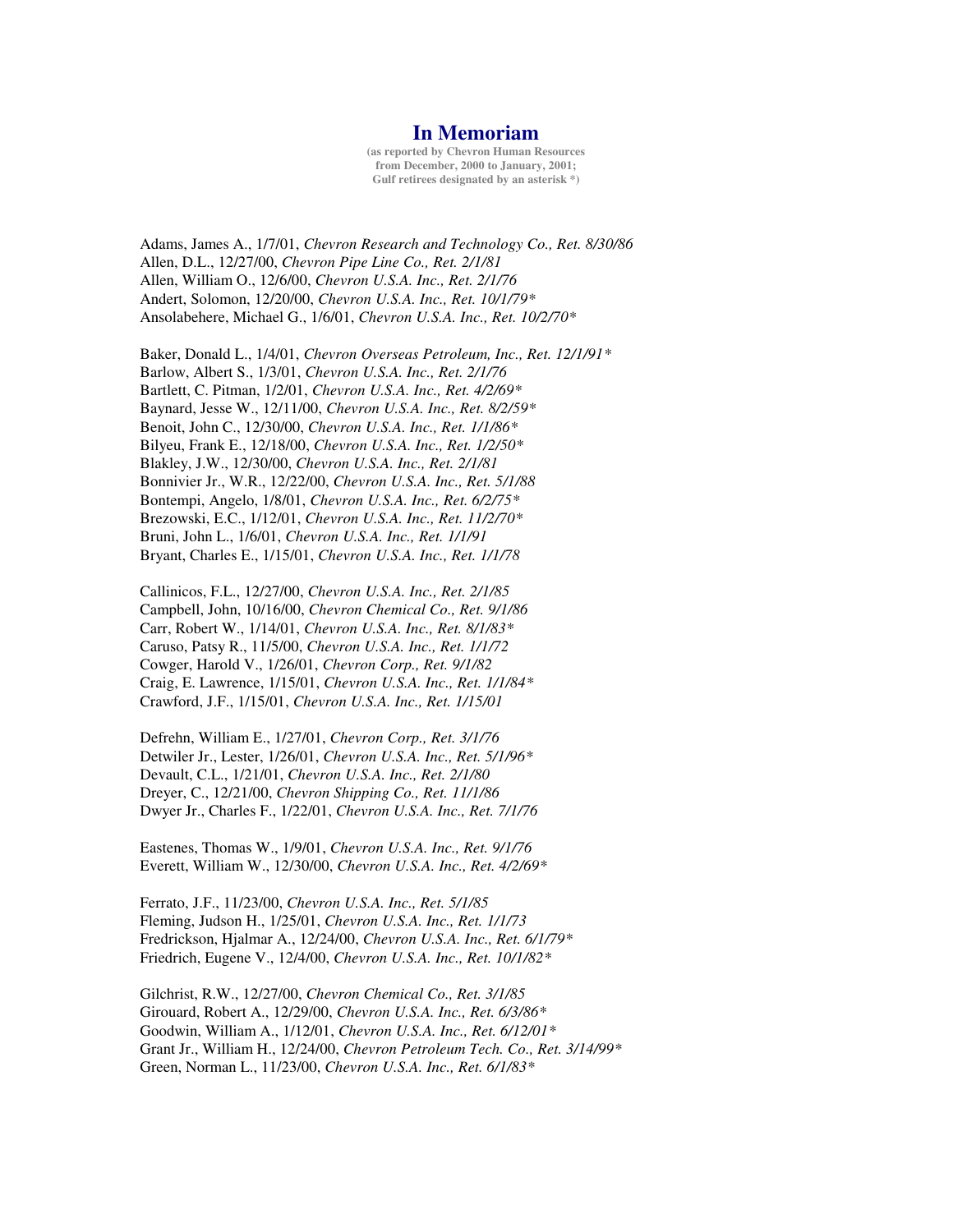## **In Memoriam**

**(as reported by Chevron Human Resources from December, 2000 to January, 2001; Gulf retirees designated by an asterisk \*)**

Adams, James A., 1/7/01, *Chevron Research and Technology Co., Ret. 8/30/86* Allen, D.L., 12/27/00, *Chevron Pipe Line Co., Ret. 2/1/81* Allen, William O., 12/6/00, *Chevron U.S.A. Inc., Ret. 2/1/76* Andert, Solomon, 12/20/00, *Chevron U.S.A. Inc., Ret. 10/1/79\** Ansolabehere, Michael G., 1/6/01, *Chevron U.S.A. Inc., Ret. 10/2/70\**

Baker, Donald L., 1/4/01, *Chevron Overseas Petroleum, Inc., Ret. 12/1/91\** Barlow, Albert S., 1/3/01, *Chevron U.S.A. Inc., Ret. 2/1/76* Bartlett, C. Pitman, 1/2/01, *Chevron U.S.A. Inc., Ret. 4/2/69\** Baynard, Jesse W., 12/11/00, *Chevron U.S.A. Inc., Ret. 8/2/59\** Benoit, John C., 12/30/00, *Chevron U.S.A. Inc., Ret. 1/1/86\** Bilyeu, Frank E., 12/18/00, *Chevron U.S.A. Inc., Ret. 1/2/50\** Blakley, J.W., 12/30/00, *Chevron U.S.A. Inc., Ret. 2/1/81* Bonnivier Jr., W.R., 12/22/00, *Chevron U.S.A. Inc., Ret. 5/1/88* Bontempi, Angelo, 1/8/01, *Chevron U.S.A. Inc., Ret. 6/2/75\** Brezowski, E.C., 1/12/01, *Chevron U.S.A. Inc., Ret. 11/2/70\** Bruni, John L., 1/6/01, *Chevron U.S.A. Inc., Ret. 1/1/91* Bryant, Charles E., 1/15/01, *Chevron U.S.A. Inc., Ret. 1/1/78*

Callinicos, F.L., 12/27/00, *Chevron U.S.A. Inc., Ret. 2/1/85* Campbell, John, 10/16/00, *Chevron Chemical Co., Ret. 9/1/86* Carr, Robert W., 1/14/01, *Chevron U.S.A. Inc., Ret. 8/1/83\** Caruso, Patsy R., 11/5/00, *Chevron U.S.A. Inc., Ret. 1/1/72* Cowger, Harold V., 1/26/01, *Chevron Corp., Ret. 9/1/82* Craig, E. Lawrence, 1/15/01, *Chevron U.S.A. Inc., Ret. 1/1/84\** Crawford, J.F., 1/15/01, *Chevron U.S.A. Inc., Ret. 1/15/01*

Defrehn, William E., 1/27/01, *Chevron Corp., Ret. 3/1/76* Detwiler Jr., Lester, 1/26/01, *Chevron U.S.A. Inc., Ret. 5/1/96\** Devault, C.L., 1/21/01, *Chevron U.S.A. Inc., Ret. 2/1/80* Dreyer, C., 12/21/00, *Chevron Shipping Co., Ret. 11/1/86* Dwyer Jr., Charles F., 1/22/01, *Chevron U.S.A. Inc., Ret. 7/1/76*

Eastenes, Thomas W., 1/9/01, *Chevron U.S.A. Inc., Ret. 9/1/76* Everett, William W., 12/30/00, *Chevron U.S.A. Inc., Ret. 4/2/69\**

Ferrato, J.F., 11/23/00, *Chevron U.S.A. Inc., Ret. 5/1/85* Fleming, Judson H., 1/25/01, *Chevron U.S.A. Inc., Ret. 1/1/73* Fredrickson, Hjalmar A., 12/24/00, *Chevron U.S.A. Inc., Ret. 6/1/79\** Friedrich, Eugene V., 12/4/00, *Chevron U.S.A. Inc., Ret. 10/1/82\**

Gilchrist, R.W., 12/27/00, *Chevron Chemical Co., Ret. 3/1/85* Girouard, Robert A., 12/29/00, *Chevron U.S.A. Inc., Ret. 6/3/86\** Goodwin, William A., 1/12/01, *Chevron U.S.A. Inc., Ret. 6/12/01\** Grant Jr., William H., 12/24/00, *Chevron Petroleum Tech. Co., Ret. 3/14/99\** Green, Norman L., 11/23/00, *Chevron U.S.A. Inc., Ret. 6/1/83\**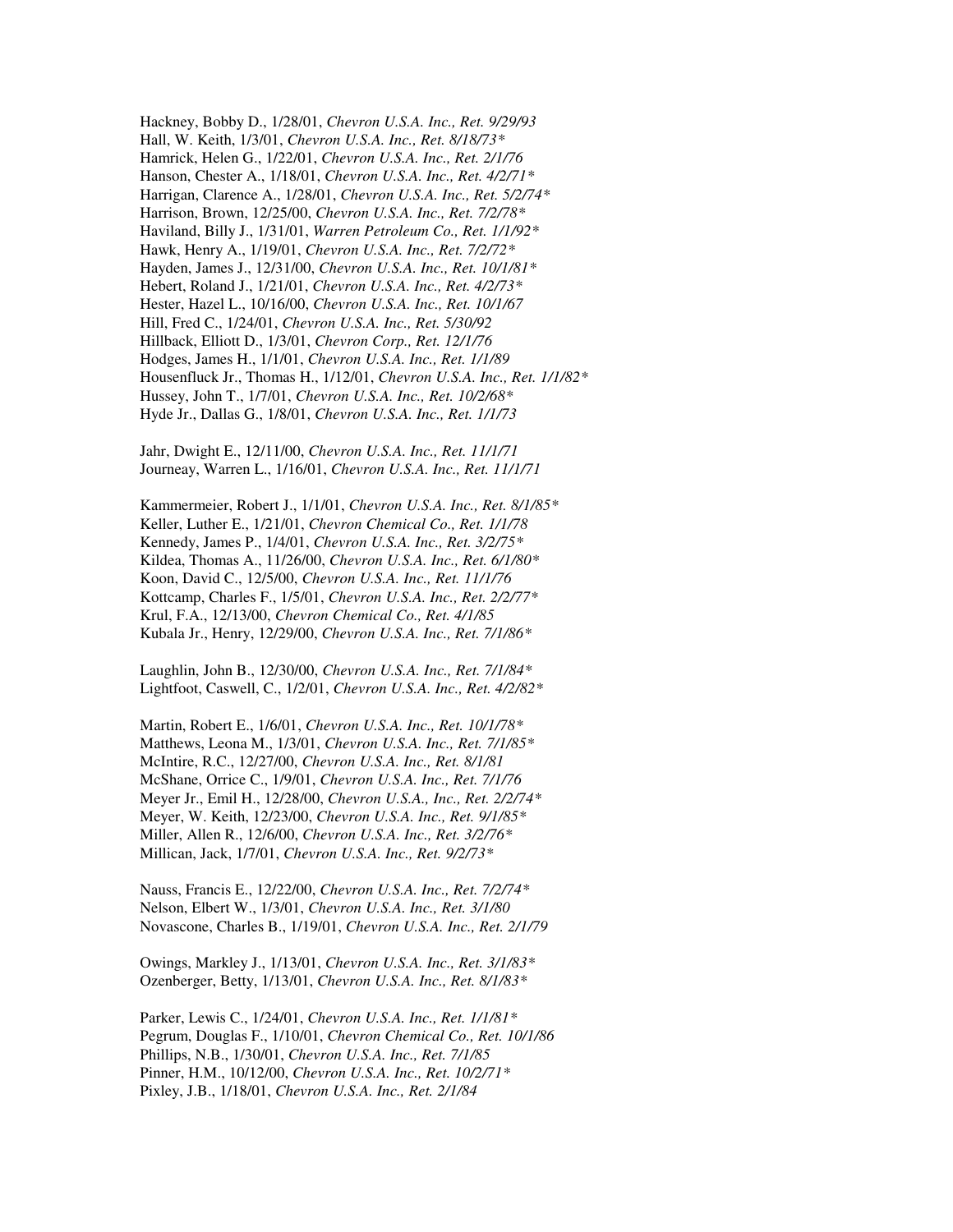Hackney, Bobby D., 1/28/01, *Chevron U.S.A. Inc., Ret. 9/29/93* Hall, W. Keith, 1/3/01, *Chevron U.S.A. Inc., Ret. 8/18/73\** Hamrick, Helen G., 1/22/01, *Chevron U.S.A. Inc., Ret. 2/1/76* Hanson, Chester A., 1/18/01, *Chevron U.S.A. Inc., Ret. 4/2/71\** Harrigan, Clarence A., 1/28/01, *Chevron U.S.A. Inc., Ret. 5/2/74\** Harrison, Brown, 12/25/00, *Chevron U.S.A. Inc., Ret. 7/2/78\** Haviland, Billy J., 1/31/01, *Warren Petroleum Co., Ret. 1/1/92\** Hawk, Henry A., 1/19/01, *Chevron U.S.A. Inc., Ret. 7/2/72\** Hayden, James J., 12/31/00, *Chevron U.S.A. Inc., Ret. 10/1/81\** Hebert, Roland J., 1/21/01, *Chevron U.S.A. Inc., Ret. 4/2/73\** Hester, Hazel L., 10/16/00, *Chevron U.S.A. Inc., Ret. 10/1/67* Hill, Fred C., 1/24/01, *Chevron U.S.A. Inc., Ret. 5/30/92* Hillback, Elliott D., 1/3/01, *Chevron Corp., Ret. 12/1/76* Hodges, James H., 1/1/01, *Chevron U.S.A. Inc., Ret. 1/1/89* Housenfluck Jr., Thomas H., 1/12/01, *Chevron U.S.A. Inc., Ret. 1/1/82\** Hussey, John T., 1/7/01, *Chevron U.S.A. Inc., Ret. 10/2/68\** Hyde Jr., Dallas G., 1/8/01, *Chevron U.S.A. Inc., Ret. 1/1/73*

Jahr, Dwight E., 12/11/00, *Chevron U.S.A. Inc., Ret. 11/1/71* Journeay, Warren L., 1/16/01, *Chevron U.S.A. Inc., Ret. 11/1/71*

Kammermeier, Robert J., 1/1/01, *Chevron U.S.A. Inc., Ret. 8/1/85\** Keller, Luther E., 1/21/01, *Chevron Chemical Co., Ret. 1/1/78* Kennedy, James P., 1/4/01, *Chevron U.S.A. Inc., Ret. 3/2/75\** Kildea, Thomas A., 11/26/00, *Chevron U.S.A. Inc., Ret. 6/1/80\** Koon, David C., 12/5/00, *Chevron U.S.A. Inc., Ret. 11/1/76* Kottcamp, Charles F., 1/5/01, *Chevron U.S.A. Inc., Ret. 2/2/77\** Krul, F.A., 12/13/00, *Chevron Chemical Co., Ret. 4/1/85* Kubala Jr., Henry, 12/29/00, *Chevron U.S.A. Inc., Ret. 7/1/86\**

Laughlin, John B., 12/30/00, *Chevron U.S.A. Inc., Ret. 7/1/84\** Lightfoot, Caswell, C., 1/2/01, *Chevron U.S.A. Inc., Ret. 4/2/82\**

Martin, Robert E., 1/6/01, *Chevron U.S.A. Inc., Ret. 10/1/78\** Matthews, Leona M., 1/3/01, *Chevron U.S.A. Inc., Ret. 7/1/85\** McIntire, R.C., 12/27/00, *Chevron U.S.A. Inc., Ret. 8/1/81* McShane, Orrice C., 1/9/01, *Chevron U.S.A. Inc., Ret. 7/1/76* Meyer Jr., Emil H., 12/28/00, *Chevron U.S.A., Inc., Ret. 2/2/74\** Meyer, W. Keith, 12/23/00, *Chevron U.S.A. Inc., Ret. 9/1/85\** Miller, Allen R., 12/6/00, *Chevron U.S.A. Inc., Ret. 3/2/76\** Millican, Jack, 1/7/01, *Chevron U.S.A. Inc., Ret. 9/2/73\**

Nauss, Francis E., 12/22/00, *Chevron U.S.A. Inc., Ret. 7/2/74\** Nelson, Elbert W., 1/3/01, *Chevron U.S.A. Inc., Ret. 3/1/80* Novascone, Charles B., 1/19/01, *Chevron U.S.A. Inc., Ret. 2/1/79*

Owings, Markley J., 1/13/01, *Chevron U.S.A. Inc., Ret. 3/1/83\** Ozenberger, Betty, 1/13/01, *Chevron U.S.A. Inc., Ret. 8/1/83\**

Parker, Lewis C., 1/24/01, *Chevron U.S.A. Inc., Ret. 1/1/81\** Pegrum, Douglas F., 1/10/01, *Chevron Chemical Co., Ret. 10/1/86* Phillips, N.B., 1/30/01, *Chevron U.S.A. Inc., Ret. 7/1/85* Pinner, H.M., 10/12/00, *Chevron U.S.A. Inc., Ret. 10/2/71\** Pixley, J.B., 1/18/01, *Chevron U.S.A. Inc., Ret. 2/1/84*